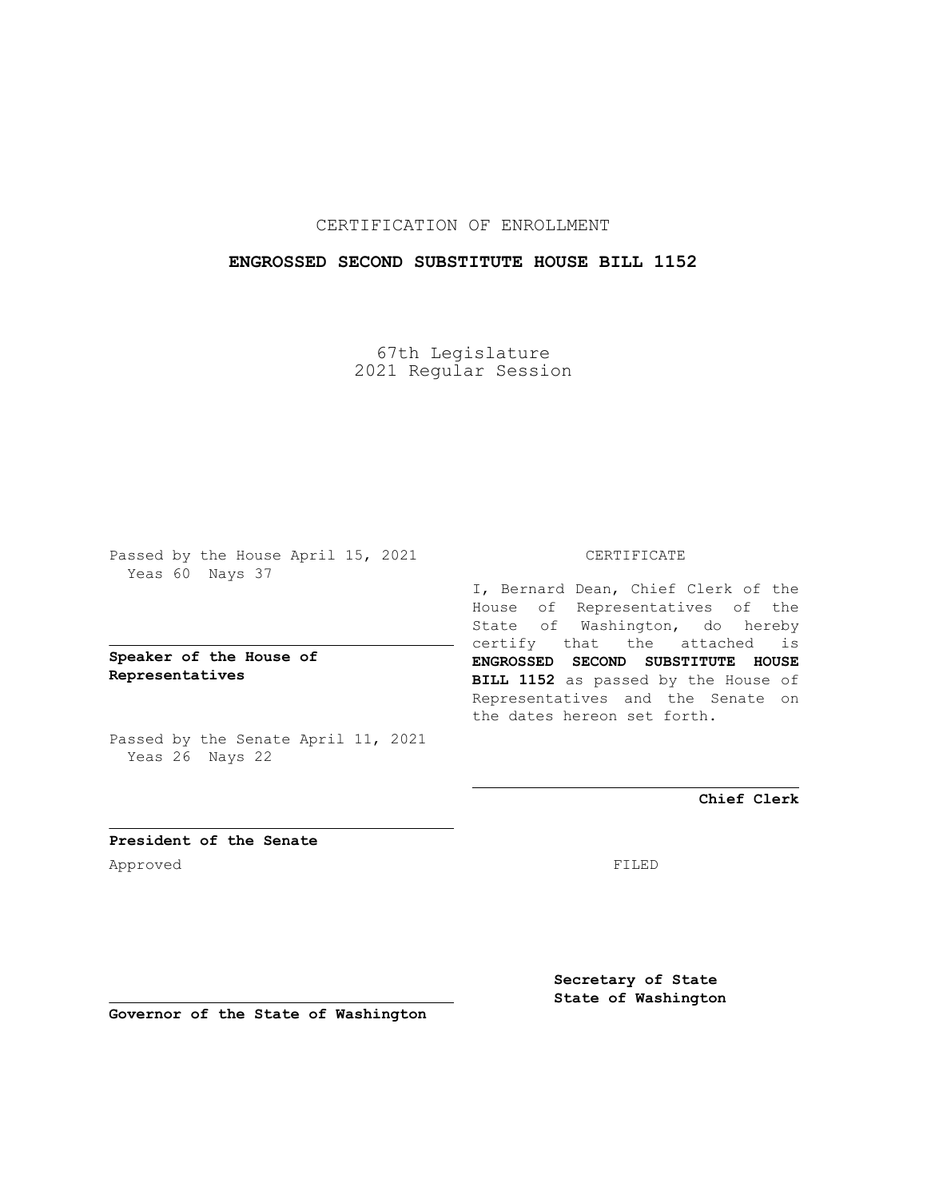# CERTIFICATION OF ENROLLMENT

## **ENGROSSED SECOND SUBSTITUTE HOUSE BILL 1152**

67th Legislature 2021 Regular Session

Passed by the House April 15, 2021 Yeas 60 Nays 37

**Speaker of the House of Representatives**

Passed by the Senate April 11, 2021 Yeas 26 Nays 22

#### CERTIFICATE

I, Bernard Dean, Chief Clerk of the House of Representatives of the State of Washington, do hereby certify that the attached is **ENGROSSED SECOND SUBSTITUTE HOUSE BILL 1152** as passed by the House of Representatives and the Senate on the dates hereon set forth.

**Chief Clerk**

**President of the Senate** Approved FILED

**Secretary of State State of Washington**

**Governor of the State of Washington**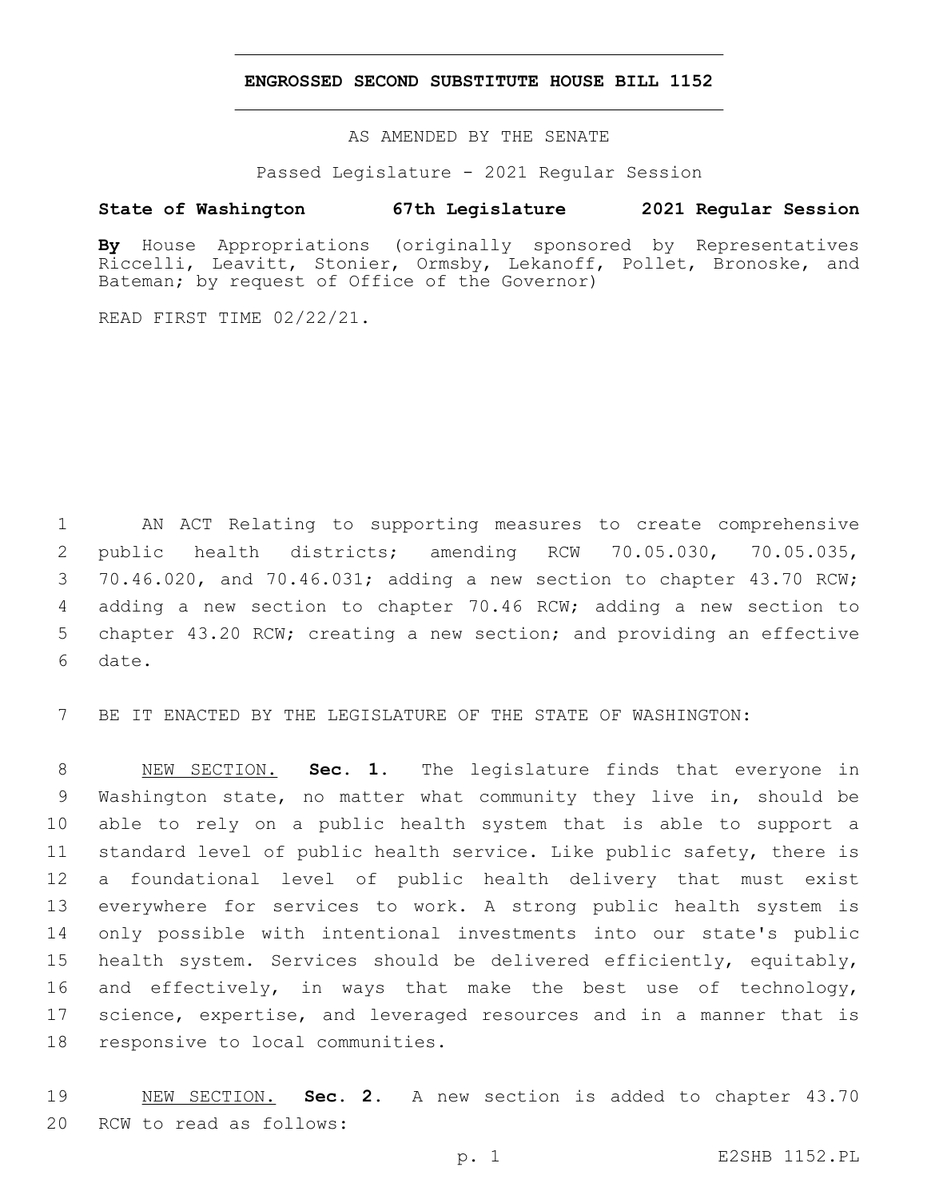### **ENGROSSED SECOND SUBSTITUTE HOUSE BILL 1152**

AS AMENDED BY THE SENATE

Passed Legislature - 2021 Regular Session

## **State of Washington 67th Legislature 2021 Regular Session**

**By** House Appropriations (originally sponsored by Representatives Riccelli, Leavitt, Stonier, Ormsby, Lekanoff, Pollet, Bronoske, and Bateman; by request of Office of the Governor)

READ FIRST TIME 02/22/21.

 AN ACT Relating to supporting measures to create comprehensive public health districts; amending RCW 70.05.030, 70.05.035, 70.46.020, and 70.46.031; adding a new section to chapter 43.70 RCW; adding a new section to chapter 70.46 RCW; adding a new section to chapter 43.20 RCW; creating a new section; and providing an effective 6 date.

BE IT ENACTED BY THE LEGISLATURE OF THE STATE OF WASHINGTON:

 NEW SECTION. **Sec. 1.** The legislature finds that everyone in Washington state, no matter what community they live in, should be able to rely on a public health system that is able to support a standard level of public health service. Like public safety, there is a foundational level of public health delivery that must exist everywhere for services to work. A strong public health system is only possible with intentional investments into our state's public health system. Services should be delivered efficiently, equitably, and effectively, in ways that make the best use of technology, science, expertise, and leveraged resources and in a manner that is responsive to local communities.

 NEW SECTION. **Sec. 2.** A new section is added to chapter 43.70 20 RCW to read as follows: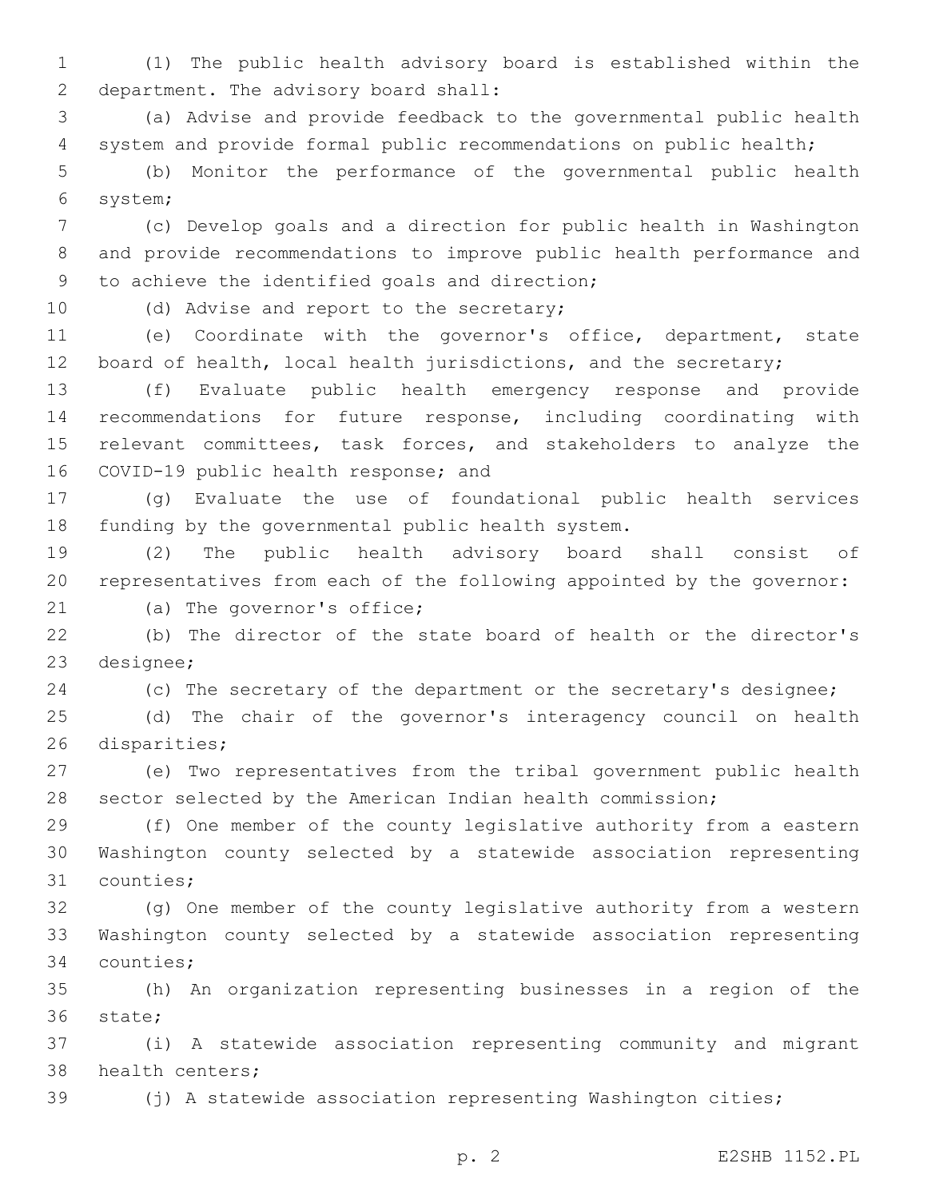1 (1) The public health advisory board is established within the 2 department. The advisory board shall:

3 (a) Advise and provide feedback to the governmental public health 4 system and provide formal public recommendations on public health;

5 (b) Monitor the performance of the governmental public health system;6

7 (c) Develop goals and a direction for public health in Washington 8 and provide recommendations to improve public health performance and 9 to achieve the identified goals and direction;

10 (d) Advise and report to the secretary;

11 (e) Coordinate with the governor's office, department, state 12 board of health, local health jurisdictions, and the secretary;

13 (f) Evaluate public health emergency response and provide 14 recommendations for future response, including coordinating with 15 relevant committees, task forces, and stakeholders to analyze the 16 COVID-19 public health response; and

17 (g) Evaluate the use of foundational public health services 18 funding by the governmental public health system.

19 (2) The public health advisory board shall consist of 20 representatives from each of the following appointed by the governor:

21 (a) The governor's office;

22 (b) The director of the state board of health or the director's 23 designee;

24 (c) The secretary of the department or the secretary's designee;

25 (d) The chair of the governor's interagency council on health 26 disparities;

27 (e) Two representatives from the tribal government public health 28 sector selected by the American Indian health commission;

29 (f) One member of the county legislative authority from a eastern 30 Washington county selected by a statewide association representing 31 counties;

32 (g) One member of the county legislative authority from a western 33 Washington county selected by a statewide association representing 34 counties;

35 (h) An organization representing businesses in a region of the 36 state;

37 (i) A statewide association representing community and migrant 38 health centers;

39 (j) A statewide association representing Washington cities;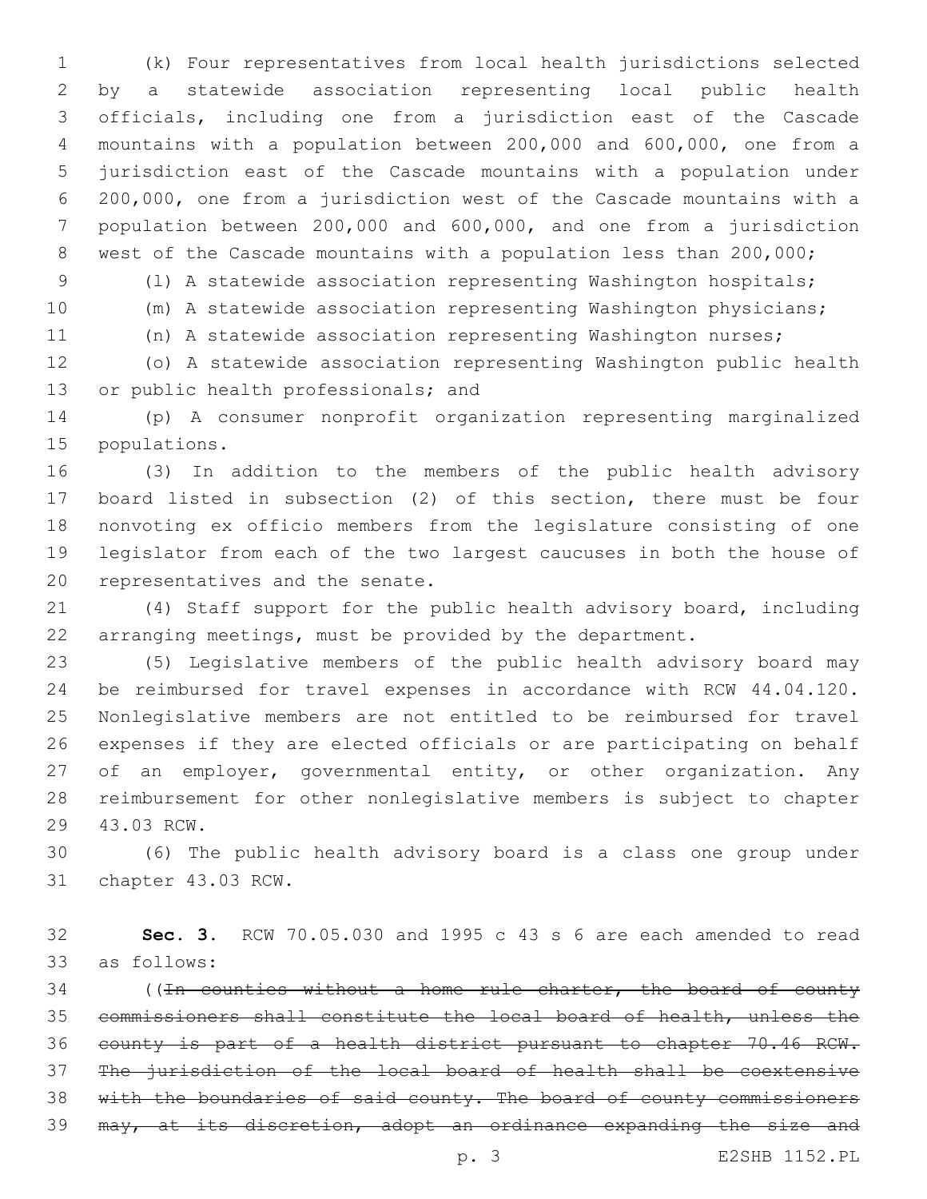(k) Four representatives from local health jurisdictions selected by a statewide association representing local public health officials, including one from a jurisdiction east of the Cascade mountains with a population between 200,000 and 600,000, one from a jurisdiction east of the Cascade mountains with a population under 200,000, one from a jurisdiction west of the Cascade mountains with a population between 200,000 and 600,000, and one from a jurisdiction west of the Cascade mountains with a population less than 200,000;

(l) A statewide association representing Washington hospitals;

(m) A statewide association representing Washington physicians;

(n) A statewide association representing Washington nurses;

 (o) A statewide association representing Washington public health 13 or public health professionals; and

 (p) A consumer nonprofit organization representing marginalized 15 populations.

 (3) In addition to the members of the public health advisory board listed in subsection (2) of this section, there must be four nonvoting ex officio members from the legislature consisting of one legislator from each of the two largest caucuses in both the house of 20 representatives and the senate.

 (4) Staff support for the public health advisory board, including arranging meetings, must be provided by the department.

 (5) Legislative members of the public health advisory board may be reimbursed for travel expenses in accordance with RCW 44.04.120. Nonlegislative members are not entitled to be reimbursed for travel expenses if they are elected officials or are participating on behalf of an employer, governmental entity, or other organization. Any reimbursement for other nonlegislative members is subject to chapter 29 43.03 RCW.

 (6) The public health advisory board is a class one group under 31 chapter 43.03 RCW.

 **Sec. 3.** RCW 70.05.030 and 1995 c 43 s 6 are each amended to read 33 as follows:

34 ((In counties without a home rule charter, the board of county commissioners shall constitute the local board of health, unless the county is part of a health district pursuant to chapter 70.46 RCW. The jurisdiction of the local board of health shall be coextensive 38 with the boundaries of said county. The board of county commissioners may, at its discretion, adopt an ordinance expanding the size and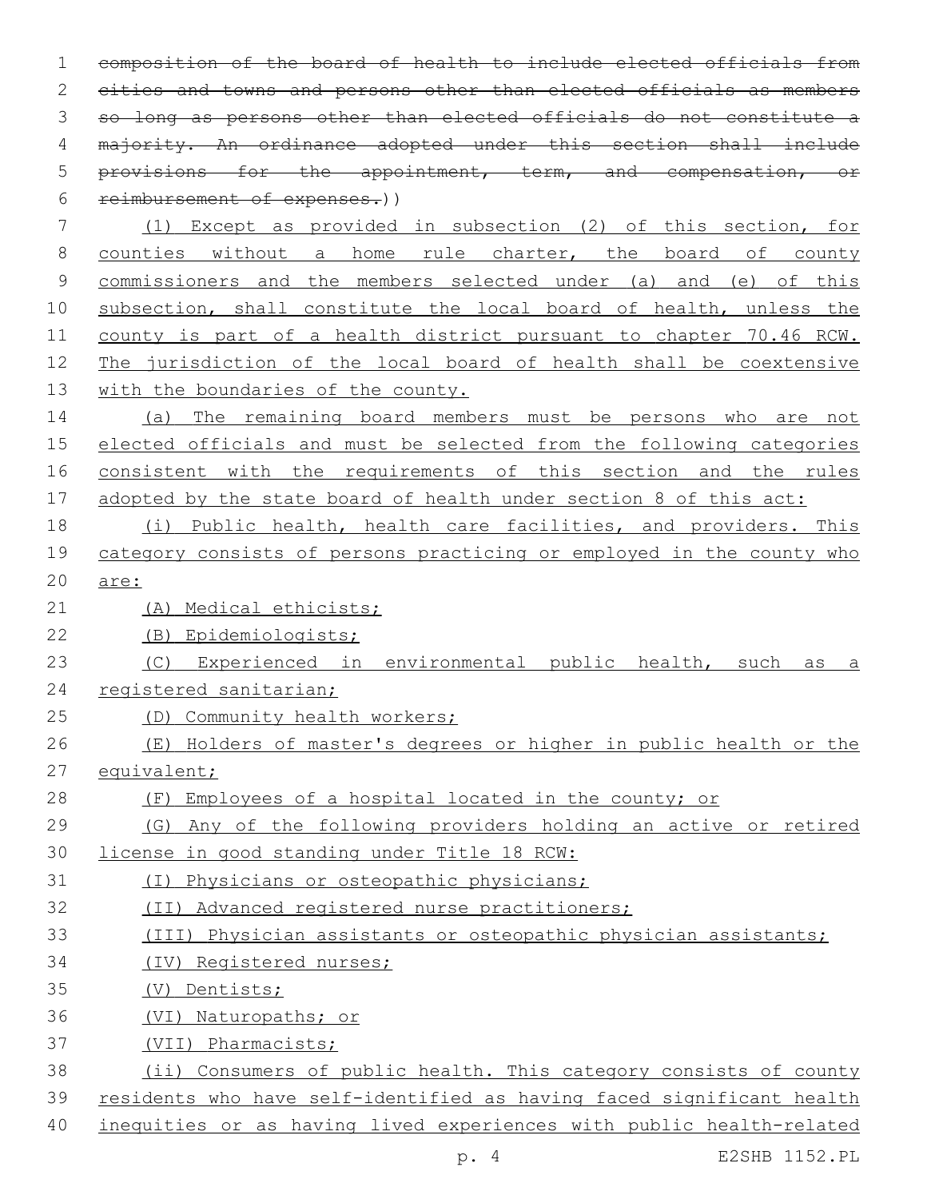composition of the board of health to include elected officials from cities and towns and persons other than elected officials as members so long as persons other than elected officials do not constitute a 4 majority. An ordinance adopted under this section shall include provisions for the appointment, term, and compensation, or reimbursement of expenses.)) (1) Except as provided in subsection (2) of this section, for counties without a home rule charter, the board of county commissioners and the members selected under (a) and (e) of this 10 subsection, shall constitute the local board of health, unless the county is part of a health district pursuant to chapter 70.46 RCW. The jurisdiction of the local board of health shall be coextensive 13 with the boundaries of the county. (a) The remaining board members must be persons who are not elected officials and must be selected from the following categories consistent with the requirements of this section and the rules adopted by the state board of health under section 8 of this act: (i) Public health, health care facilities, and providers. This category consists of persons practicing or employed in the county who are: (A) Medical ethicists; (B) Epidemiologists; (C) Experienced in environmental public health, such as a registered sanitarian; (D) Community health workers; (E) Holders of master's degrees or higher in public health or the equivalent; (F) Employees of a hospital located in the county; or (G) Any of the following providers holding an active or retired license in good standing under Title 18 RCW: (I) Physicians or osteopathic physicians; (II) Advanced registered nurse practitioners; (III) Physician assistants or osteopathic physician assistants; (IV) Registered nurses; (V) Dentists; (VI) Naturopaths; or (VII) Pharmacists; (ii) Consumers of public health. This category consists of county residents who have self-identified as having faced significant health inequities or as having lived experiences with public health-related

p. 4 E2SHB 1152.PL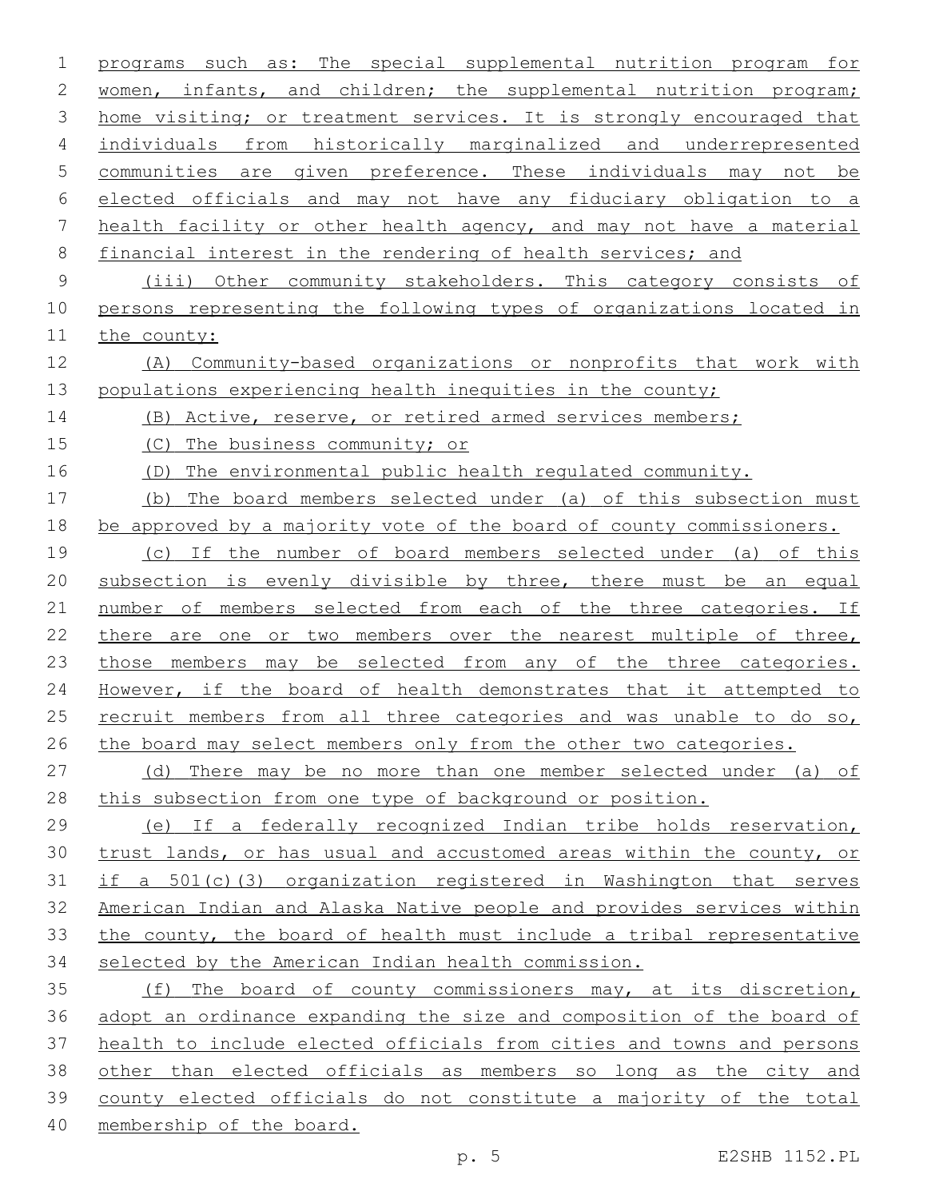programs such as: The special supplemental nutrition program for 2 women, infants, and children; the supplemental nutrition program; home visiting; or treatment services. It is strongly encouraged that individuals from historically marginalized and underrepresented communities are given preference. These individuals may not be elected officials and may not have any fiduciary obligation to a health facility or other health agency, and may not have a material financial interest in the rendering of health services; and (iii) Other community stakeholders. This category consists of persons representing the following types of organizations located in the county: (A) Community-based organizations or nonprofits that work with populations experiencing health inequities in the county; (B) Active, reserve, or retired armed services members; (C) The business community; or (D) The environmental public health regulated community. (b) The board members selected under (a) of this subsection must be approved by a majority vote of the board of county commissioners. (c) If the number of board members selected under (a) of this subsection is evenly divisible by three, there must be an equal 21 number of members selected from each of the three categories. If 22 there are one or two members over the nearest multiple of three, those members may be selected from any of the three categories. However, if the board of health demonstrates that it attempted to recruit members from all three categories and was unable to do so, 26 the board may select members only from the other two categories. (d) There may be no more than one member selected under (a) of this subsection from one type of background or position. (e) If a federally recognized Indian tribe holds reservation, trust lands, or has usual and accustomed areas within the county, or if a 501(c)(3) organization registered in Washington that serves American Indian and Alaska Native people and provides services within the county, the board of health must include a tribal representative selected by the American Indian health commission. (f) The board of county commissioners may, at its discretion, adopt an ordinance expanding the size and composition of the board of health to include elected officials from cities and towns and persons 38 other than elected officials as members so long as the city and county elected officials do not constitute a majority of the total membership of the board.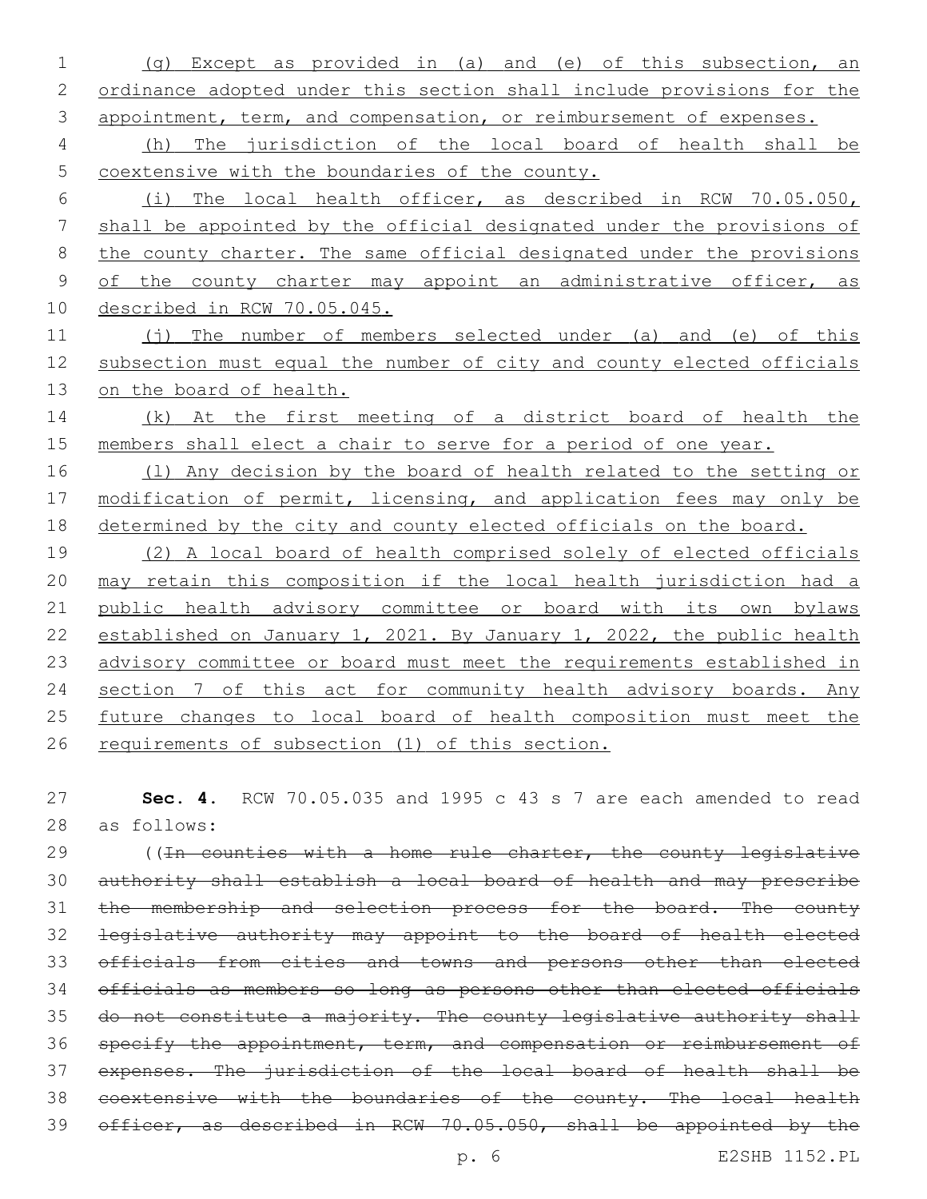(g) Except as provided in (a) and (e) of this subsection, an ordinance adopted under this section shall include provisions for the 3 appointment, term, and compensation, or reimbursement of expenses. (h) The jurisdiction of the local board of health shall be coextensive with the boundaries of the county. (i) The local health officer, as described in RCW 70.05.050, shall be appointed by the official designated under the provisions of 8 the county charter. The same official designated under the provisions 9 of the county charter may appoint an administrative officer, as described in RCW 70.05.045. 11 (j) The number of members selected under (a) and (e) of this subsection must equal the number of city and county elected officials on the board of health. 14 (k) At the first meeting of a district board of health the members shall elect a chair to serve for a period of one year. 16 (1) Any decision by the board of health related to the setting or 17 modification of permit, licensing, and application fees may only be 18 determined by the city and county elected officials on the board. (2) A local board of health comprised solely of elected officials may retain this composition if the local health jurisdiction had a public health advisory committee or board with its own bylaws established on January 1, 2021. By January 1, 2022, the public health advisory committee or board must meet the requirements established in 24 section 7 of this act for community health advisory boards. Any 25 future changes to local board of health composition must meet the requirements of subsection (1) of this section.

 **Sec. 4.** RCW 70.05.035 and 1995 c 43 s 7 are each amended to read 28 as follows:

29 ((In counties with a home rule charter, the county legislative authority shall establish a local board of health and may prescribe 31 the membership and selection process for the board. The county legislative authority may appoint to the board of health elected officials from cities and towns and persons other than elected officials as members so long as persons other than elected officials 35 do not constitute a majority. The county legislative authority shall specify the appointment, term, and compensation or reimbursement of expenses. The jurisdiction of the local board of health shall be coextensive with the boundaries of the county. The local health officer, as described in RCW 70.05.050, shall be appointed by the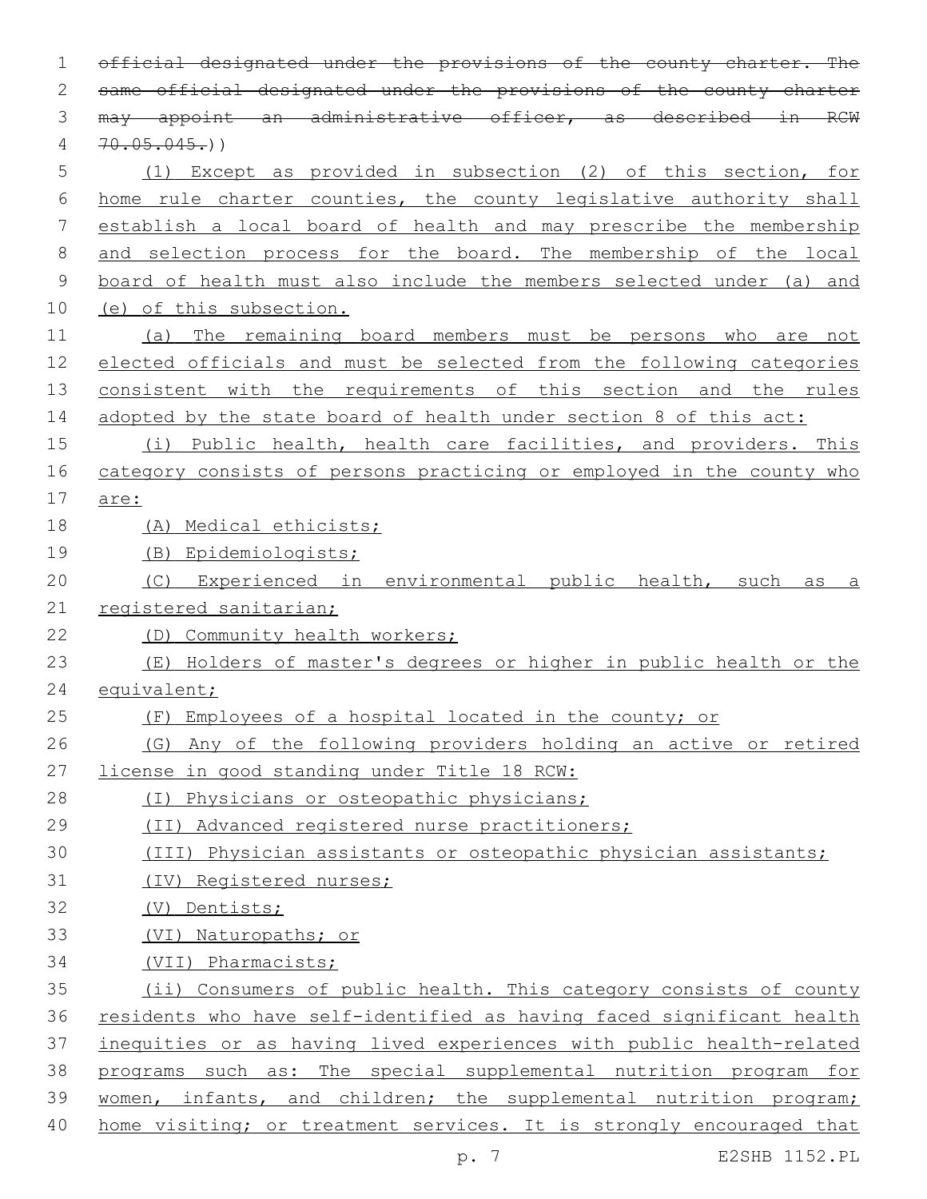| $\mathbf 1$   | official designated under the provisions of the county charter. The   |
|---------------|-----------------------------------------------------------------------|
| 2             | same official designated under the provisions of the county charter   |
| 3             | may appoint an administrative officer, as described in RCW            |
| 4             | 70.05.045.)                                                           |
| 5             | (1) Except as provided in subsection (2) of this section, for         |
| 6             | home rule charter counties, the county legislative authority shall    |
| 7             | establish a local board of health and may prescribe the membership    |
| $8\,$         | and selection process for the board. The membership of the local      |
| $\mathcal{G}$ | board of health must also include the members selected under (a) and  |
| 10            | (e) of this subsection.                                               |
| 11            | The remaining board members must be persons who are not<br>(a)        |
| 12            | elected officials and must be selected from the following categories  |
| 13            | consistent with the requirements of this section and the rules        |
| 14            | adopted by the state board of health under section 8 of this act:     |
| 15            | (i) Public health, health care facilities, and providers. This        |
| 16            | category consists of persons practicing or employed in the county who |
| 17            | are:                                                                  |
| 18            | (A) Medical ethicists;                                                |
| 19            | (B) Epidemiologists;                                                  |
| 20            | Experienced in environmental public health, such<br>(C)<br>as<br>а    |
| 21            | registered sanitarian;                                                |
| 22            | (D) Community health workers;                                         |
| 23            | (E) Holders of master's degrees or higher in public health or the     |
| 24            | equivalent;                                                           |
| 25            | (F) Employees of a hospital located in the county; or                 |
| 26            | Any of the following providers holding an active or retired<br>(G)    |
| 27            | license in good standing under Title 18 RCW:                          |
| 28            | (I) Physicians or osteopathic physicians;                             |
| 29            | (II) Advanced registered nurse practitioners;                         |
| 30            | (III) Physician assistants or osteopathic physician assistants;       |
| 31            | (IV) Registered nurses;                                               |
| 32            | (V) Dentists;                                                         |
| 33            | (VI) Naturopaths; or                                                  |
| 34            | (VII) Pharmacists;                                                    |
| 35            | (ii) Consumers of public health. This category consists of county     |
| 36            | residents who have self-identified as having faced significant health |
| 37            | inequities or as having lived experiences with public health-related  |
| 38            | programs such as: The special supplemental nutrition program for      |
| 39            | women, infants, and children; the supplemental nutrition program;     |
| 40            | home visiting; or treatment services. It is strongly encouraged that  |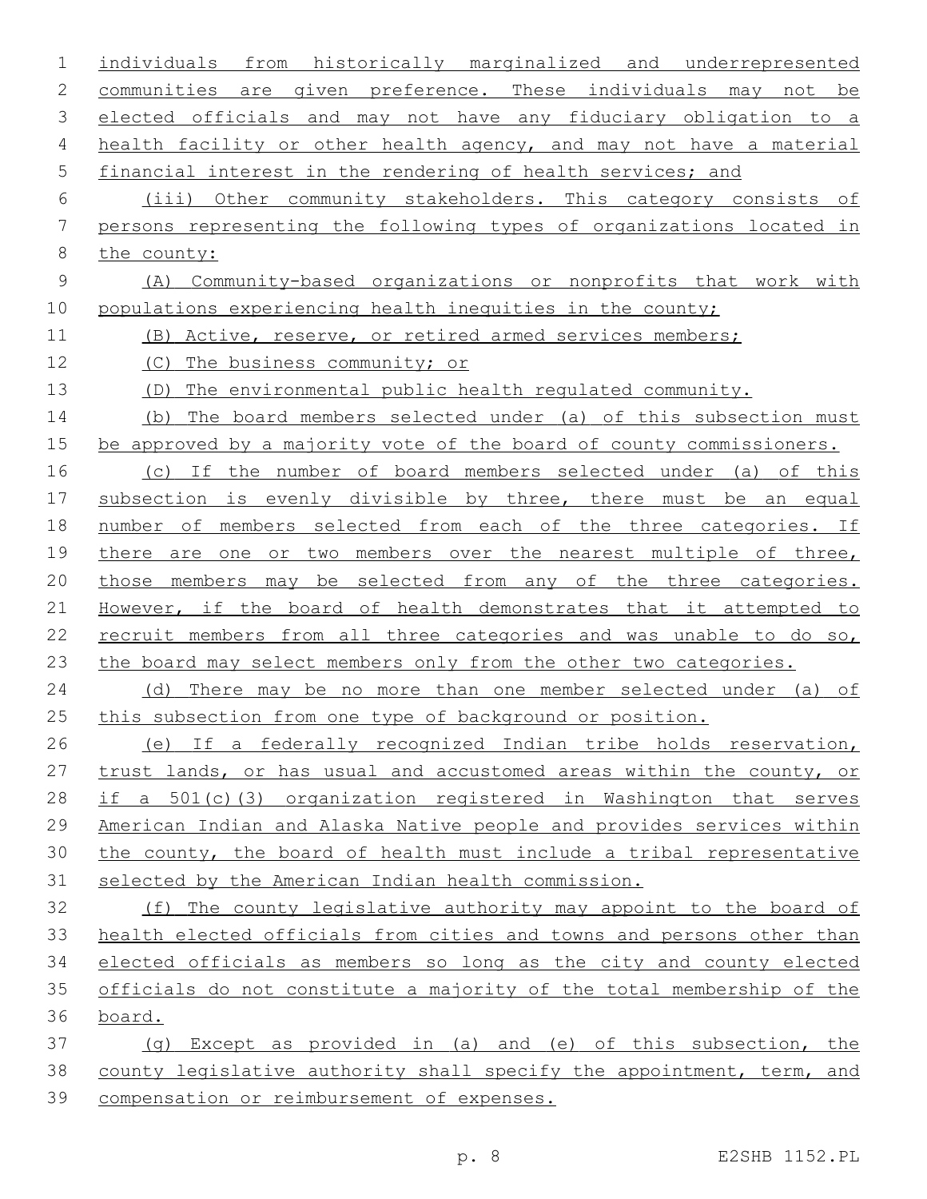| 1           | individuals from historically marginalized and underrepresented       |
|-------------|-----------------------------------------------------------------------|
| 2           | communities are given preference. These individuals may not be        |
| 3           | elected officials and may not have any fiduciary obligation to a      |
| 4           | health facility or other health agency, and may not have a material   |
| 5           | financial interest in the rendering of health services; and           |
| 6           | (iii) Other community stakeholders. This category consists of         |
| 7           | persons representing the following types of organizations located in  |
| 8           | the county:                                                           |
| $\mathsf 9$ | Community-based organizations or nonprofits that work with<br>(A)     |
| 10          | populations experiencing health inequities in the county;             |
| 11          | (B) Active, reserve, or retired armed services members;               |
| 12          | (C) The business community; or                                        |
| 13          | The environmental public health requlated community.<br>(D)           |
| 14          | The board members selected under (a) of this subsection must<br>(b)   |
| 15          | be approved by a majority vote of the board of county commissioners.  |
| 16          | (c) If the number of board members selected under (a) of this         |
| 17          | subsection is evenly divisible by three, there must be an equal       |
| 18          | number of members selected from each of the three categories. If      |
| 19          | there are one or two members over the nearest multiple of three,      |
| 20          | those members may be selected from any of the three categories.       |
| 21          | However, if the board of health demonstrates that it attempted to     |
| 22          | recruit members from all three categories and was unable to do so,    |
| 23          | the board may select members only from the other two categories.      |
| 24          | (d) There may be no more than one member selected under (a) of        |
| 25          | this subsection from one type of background or position.              |
| 26          | (e) If a federally recognized Indian tribe holds reservation,         |
| 27          | trust lands, or has usual and accustomed areas within the county, or  |
| 28          | if a 501(c)(3) organization registered in Washington that serves      |
| 29          | American Indian and Alaska Native people and provides services within |
| 30          | the county, the board of health must include a tribal representative  |
| 31          | selected by the American Indian health commission.                    |
| 32          | (f) The county legislative authority may appoint to the board of      |
| 33          | health elected officials from cities and towns and persons other than |
| 34          | elected officials as members so long as the city and county elected   |
| 35          | officials do not constitute a majority of the total membership of the |
| 36          | board.                                                                |
| 37          | (q) Except as provided in (a) and (e) of this subsection, the         |
| 38          | county legislative authority shall specify the appointment, term, and |
| 39          | compensation or reimbursement of expenses.                            |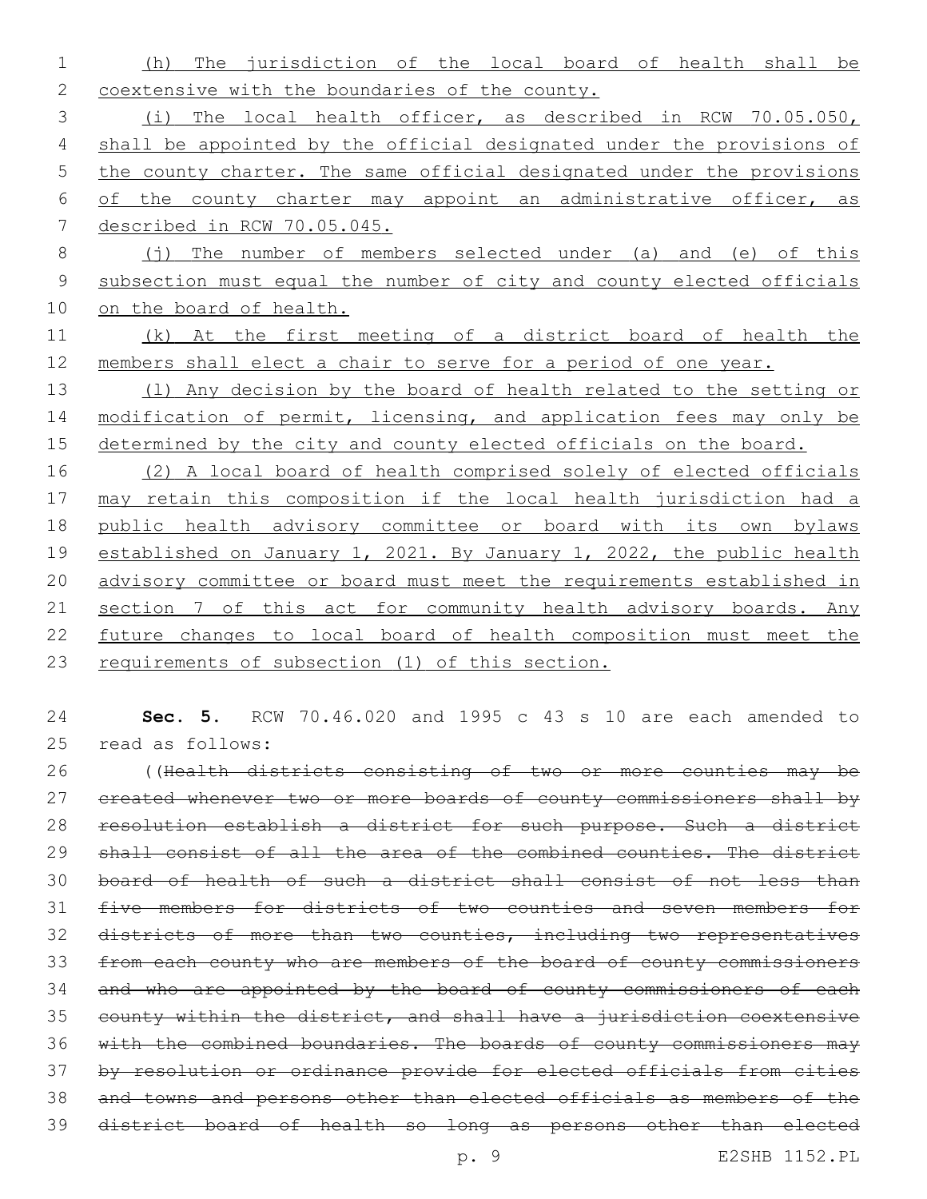(h) The jurisdiction of the local board of health shall be 2 coextensive with the boundaries of the county.

 (i) The local health officer, as described in RCW 70.05.050, shall be appointed by the official designated under the provisions of 5 the county charter. The same official designated under the provisions of the county charter may appoint an administrative officer, as described in RCW 70.05.045.

- 8 (j) The number of members selected under (a) and (e) of this subsection must equal the number of city and county elected officials on the board of health.
- (k) At the first meeting of a district board of health the members shall elect a chair to serve for a period of one year.

 (l) Any decision by the board of health related to the setting or 14 modification of permit, licensing, and application fees may only be 15 determined by the city and county elected officials on the board.

 (2) A local board of health comprised solely of elected officials may retain this composition if the local health jurisdiction had a public health advisory committee or board with its own bylaws 19 established on January 1, 2021. By January 1, 2022, the public health advisory committee or board must meet the requirements established in 21 section 7 of this act for community health advisory boards. Any future changes to local board of health composition must meet the requirements of subsection (1) of this section.

 **Sec. 5.** RCW 70.46.020 and 1995 c 43 s 10 are each amended to 25 read as follows:

 ((Health districts consisting of two or more counties may be 27 created whenever two or more boards of county commissioners shall by resolution establish a district for such purpose. Such a district shall consist of all the area of the combined counties. The district board of health of such a district shall consist of not less than five members for districts of two counties and seven members for districts of more than two counties, including two representatives from each county who are members of the board of county commissioners 34 and who are appointed by the board of county commissioners of each county within the district, and shall have a jurisdiction coextensive 36 with the combined boundaries. The boards of county commissioners may by resolution or ordinance provide for elected officials from cities and towns and persons other than elected officials as members of the district board of health so long as persons other than elected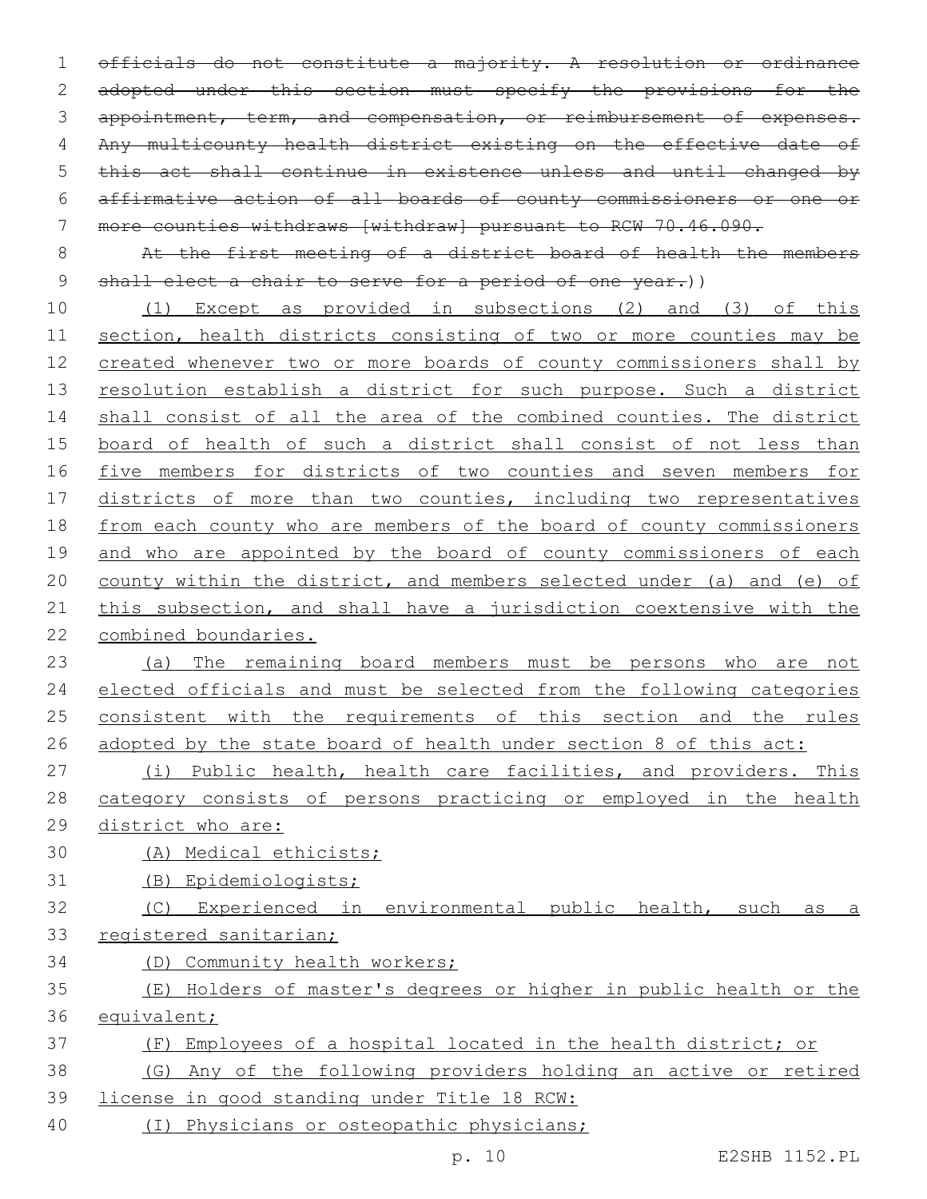officials do not constitute a majority. A resolution or ordinance 2 adopted under this section must specify the provisions for the 3 appointment, term, and compensation, or reimbursement of expenses. Any multicounty health district existing on the effective date of this act shall continue in existence unless and until changed by affirmative action of all boards of county commissioners or one or more counties withdraws [withdraw] pursuant to RCW 70.46.090.

 At the first meeting of a district board of health the members 9 shall elect a chair to serve for a period of one year.))

 (1) Except as provided in subsections (2) and (3) of this section, health districts consisting of two or more counties may be created whenever two or more boards of county commissioners shall by 13 resolution establish a district for such purpose. Such a district 14 shall consist of all the area of the combined counties. The district board of health of such a district shall consist of not less than 16 five members for districts of two counties and seven members for 17 districts of more than two counties, including two representatives from each county who are members of the board of county commissioners 19 and who are appointed by the board of county commissioners of each county within the district, and members selected under (a) and (e) of 21 this subsection, and shall have a jurisdiction coextensive with the combined boundaries.

 (a) The remaining board members must be persons who are not elected officials and must be selected from the following categories 25 consistent with the requirements of this section and the rules 26 adopted by the state board of health under section 8 of this act:

 (i) Public health, health care facilities, and providers. This category consists of persons practicing or employed in the health district who are:

- (A) Medical ethicists;
- (B) Epidemiologists;
- (C) Experienced in environmental public health, such as a registered sanitarian;
- (D) Community health workers;
- (E) Holders of master's degrees or higher in public health or the equivalent;
- (F) Employees of a hospital located in the health district; or

 (G) Any of the following providers holding an active or retired license in good standing under Title 18 RCW:

(I) Physicians or osteopathic physicians;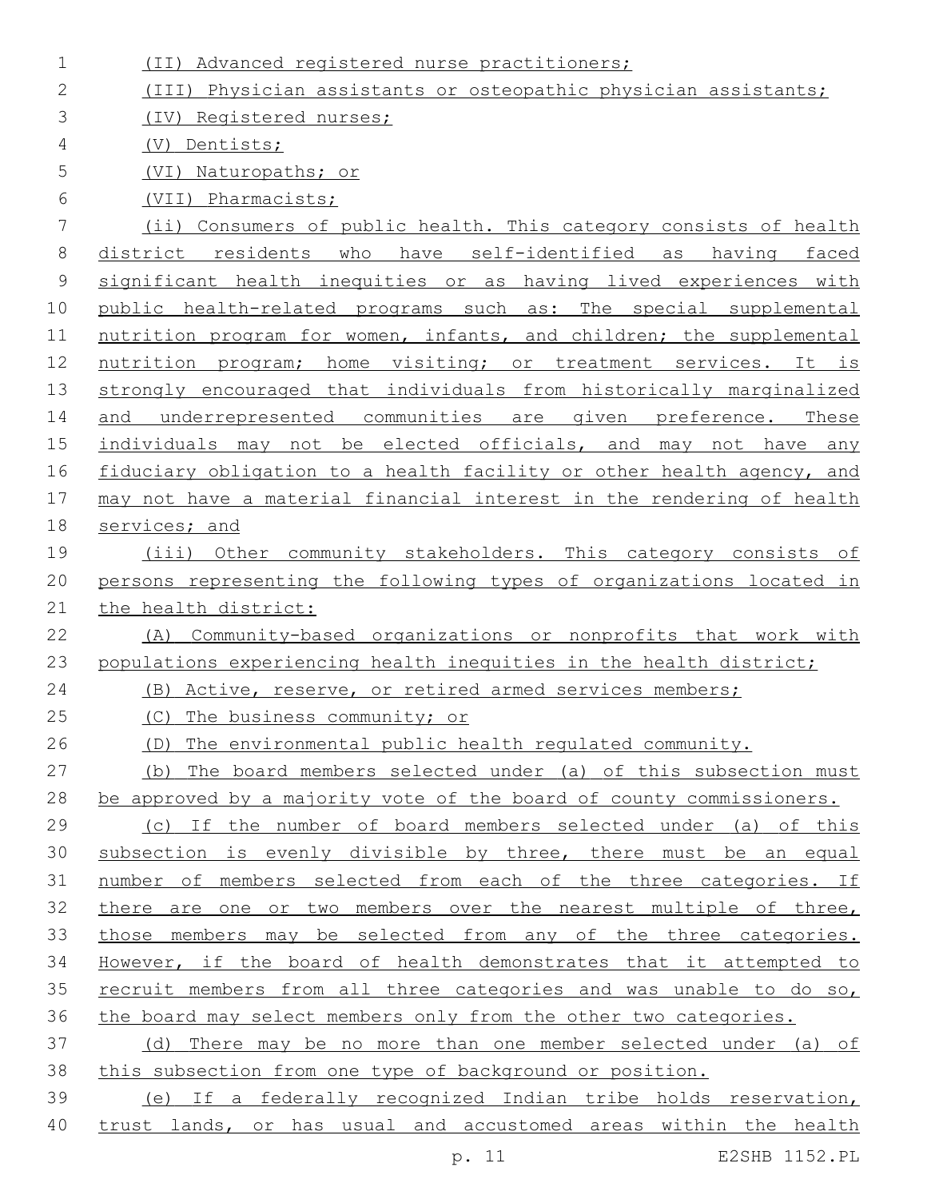| $\mathbf 1$ | (II) Advanced registered nurse practitioners;                         |
|-------------|-----------------------------------------------------------------------|
| 2           | (III) Physician assistants or osteopathic physician assistants;       |
| 3           | (IV) Registered nurses;                                               |
| 4           | Dentists;<br>(V)                                                      |
| 5           | (VI) Naturopaths; or                                                  |
| 6           | (VII) Pharmacists;                                                    |
| 7           | (ii) Consumers of public health. This category consists of health     |
| 8           | district residents who have self-identified as having faced           |
| $\mathsf 9$ | significant health inequities or as having lived experiences with     |
| 10          | public health-related programs such as: The special supplemental      |
| 11          | nutrition program for women, infants, and children; the supplemental  |
| 12          | nutrition program; home visiting; or treatment services. It is        |
| 13          | strongly encouraged that individuals from historically marginalized   |
| 14          | and underrepresented communities are given preference. These          |
| 15          | individuals may not be elected officials, and may not have any        |
| 16          | fiduciary obligation to a health facility or other health agency, and |
| 17          | may not have a material financial interest in the rendering of health |
| 18          | services; and                                                         |
| 19          | (iii) Other community stakeholders. This category consists of         |
| 20          | persons representing the following types of organizations located in  |
| 21          | the health district:                                                  |
| 22          | Community-based organizations or nonprofits that work with<br>(A)     |
| 23          | populations experiencing health inequities in the health district;    |
| 24          | (B) Active, reserve, or retired armed services members;               |
| 25          | The business community; or<br>(C)                                     |
| 26          | (D) The environmental public health regulated community.              |
| 27          | (b) The board members selected under (a) of this subsection must      |
| 28          | be approved by a majority vote of the board of county commissioners.  |
| 29          | (c) If the number of board members selected under (a) of this         |
| 30          | subsection is evenly divisible by three, there must be an equal       |
| 31          | number of members selected from each of the three categories. If      |
| 32          | there are one or two members over the nearest multiple of three,      |
| 33          | those members may be selected from any of the three categories.       |
| 34          | However, if the board of health demonstrates that it attempted to     |
| 35          | recruit members from all three categories and was unable to do so,    |
| 36          | the board may select members only from the other two categories.      |
| 37          | (d) There may be no more than one member selected under (a) of        |
| 38          | this subsection from one type of background or position.              |
| 39          | (e) If a federally recognized Indian tribe holds reservation,         |
| 40          | trust lands, or has usual and accustomed areas within the health      |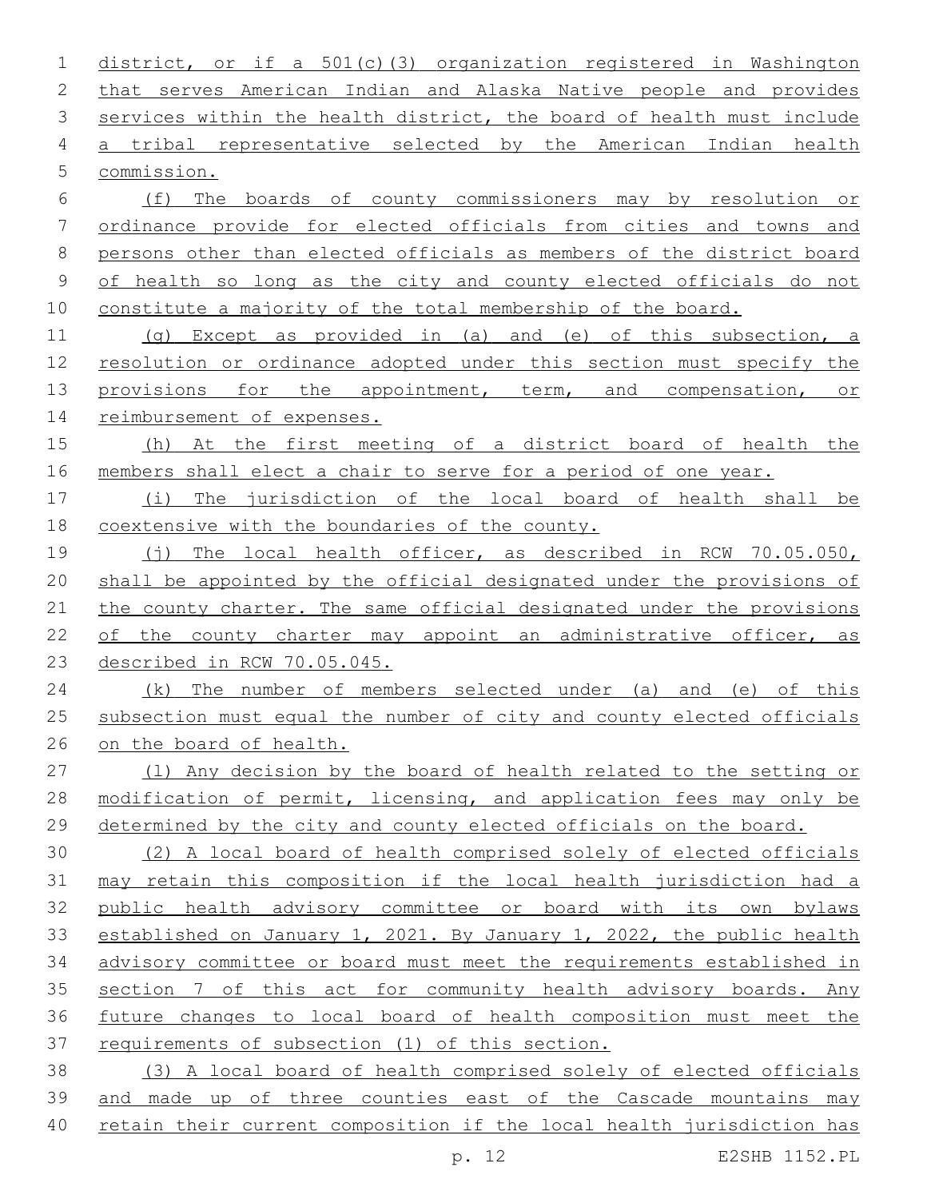district, or if a 501(c)(3) organization registered in Washington that serves American Indian and Alaska Native people and provides 3 services within the health district, the board of health must include a tribal representative selected by the American Indian health 5 commission.

 (f) The boards of county commissioners may by resolution or ordinance provide for elected officials from cities and towns and persons other than elected officials as members of the district board of health so long as the city and county elected officials do not constitute a majority of the total membership of the board.

 (g) Except as provided in (a) and (e) of this subsection, a resolution or ordinance adopted under this section must specify the 13 provisions for the appointment, term, and compensation, or reimbursement of expenses.

 (h) At the first meeting of a district board of health the members shall elect a chair to serve for a period of one year.

 (i) The jurisdiction of the local board of health shall be coextensive with the boundaries of the county.

 (j) The local health officer, as described in RCW 70.05.050, 20 shall be appointed by the official designated under the provisions of 21 the county charter. The same official designated under the provisions 22 of the county charter may appoint an administrative officer, as described in RCW 70.05.045.

 (k) The number of members selected under (a) and (e) of this 25 subsection must equal the number of city and county elected officials on the board of health.

 (l) Any decision by the board of health related to the setting or 28 modification of permit, licensing, and application fees may only be determined by the city and county elected officials on the board.

 (2) A local board of health comprised solely of elected officials 31 may retain this composition if the local health jurisdiction had a public health advisory committee or board with its own bylaws established on January 1, 2021. By January 1, 2022, the public health advisory committee or board must meet the requirements established in 35 section 7 of this act for community health advisory boards. Any future changes to local board of health composition must meet the requirements of subsection (1) of this section.

 (3) A local board of health comprised solely of elected officials and made up of three counties east of the Cascade mountains may retain their current composition if the local health jurisdiction has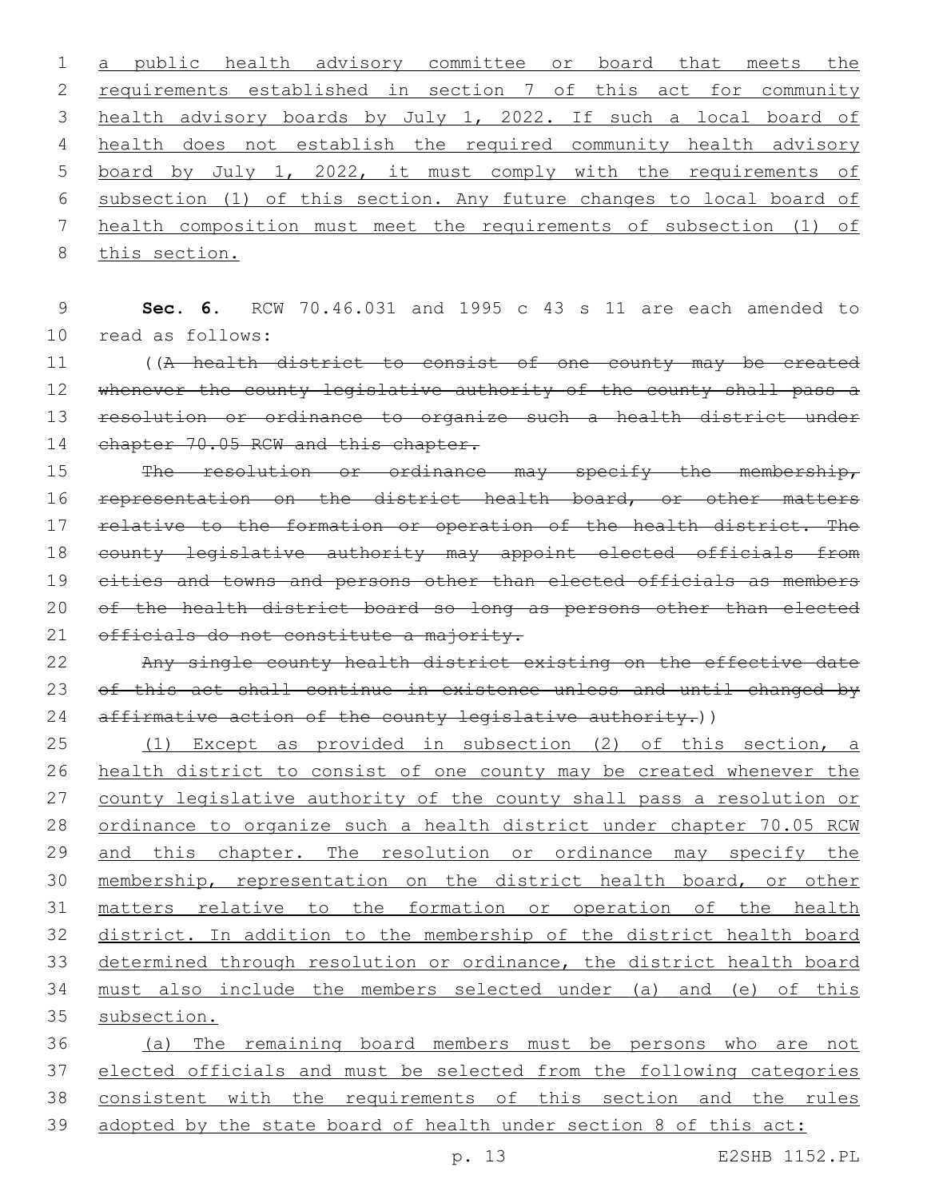1 a public health advisory committee or board that meets the 2 requirements established in section 7 of this act for community 3 health advisory boards by July 1, 2022. If such a local board of 4 health does not establish the required community health advisory 5 board by July 1, 2022, it must comply with the requirements of 6 subsection (1) of this section. Any future changes to local board of 7 health composition must meet the requirements of subsection (1) of 8 this section.

9 **Sec. 6.** RCW 70.46.031 and 1995 c 43 s 11 are each amended to 10 read as follows:

11 ((A health district to consist of one county may be created 12 whenever the county legislative authority of the county shall pass a 13 resolution or ordinance to organize such a health district under 14 chapter 70.05 RCW and this chapter.

15 The resolution or ordinance may specify the membership, 16 representation on the district health board, or other matters 17 relative to the formation or operation of the health district. The 18 county legislative authority may appoint elected officials from 19 cities and towns and persons other than elected officials as members 20 of the health district board so long as persons other than elected 21 officials do not constitute a majority.

22 Any single county health district existing on the effective date 23 of this act shall continue in existence unless and until changed by 24 affirmative action of the county legislative authority.))

 (1) Except as provided in subsection (2) of this section, a health district to consist of one county may be created whenever the 27 county legislative authority of the county shall pass a resolution or ordinance to organize such a health district under chapter 70.05 RCW 29 and this chapter. The resolution or ordinance may specify the membership, representation on the district health board, or other matters relative to the formation or operation of the health district. In addition to the membership of the district health board determined through resolution or ordinance, the district health board must also include the members selected under (a) and (e) of this subsection.

 (a) The remaining board members must be persons who are not elected officials and must be selected from the following categories consistent with the requirements of this section and the rules adopted by the state board of health under section 8 of this act: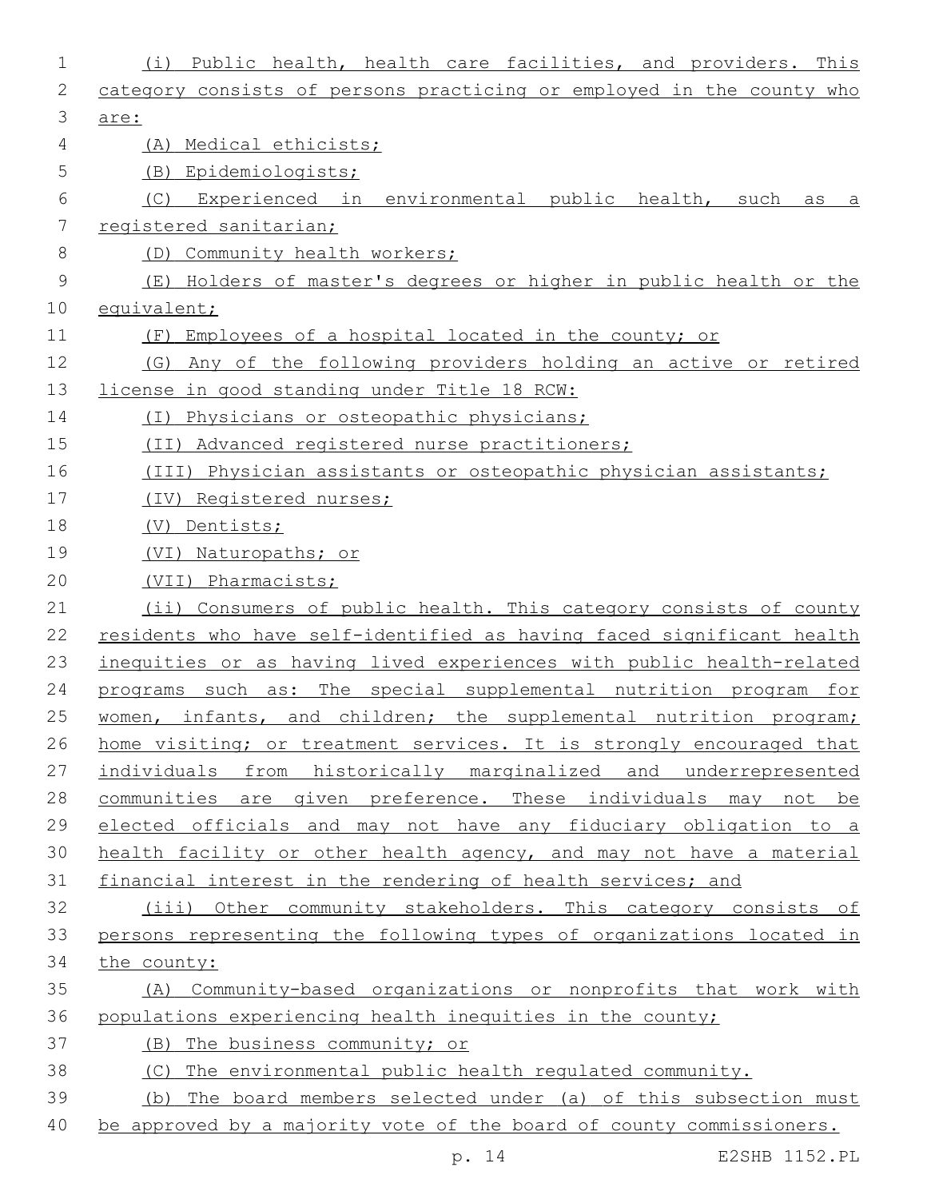| 1             | Public health, health care facilities, and providers. This<br>(i)     |
|---------------|-----------------------------------------------------------------------|
| 2             | category consists of persons practicing or employed in the county who |
| 3             | are:                                                                  |
| 4             | (A) Medical ethicists;                                                |
| 5             | Epidemiologists;<br>(B)                                               |
| 6             | Experienced in environmental public health, such<br>(C)<br>as<br>а    |
| 7             | registered sanitarian;                                                |
| 8             | (D) Community health workers;                                         |
| $\mathcal{G}$ | (E) Holders of master's degrees or higher in public health or the     |
| 10            | equivalent;                                                           |
| 11            | (F)<br>Employees of a hospital located in the county; or              |
| 12            | (G) Any of the following providers holding an active or retired       |
| 13            | license in good standing under Title 18 RCW:                          |
| 14            | Physicians or osteopathic physicians;<br>(T)                          |
| 15            | (II) Advanced registered nurse practitioners;                         |
| 16            | (III) Physician assistants or osteopathic physician assistants;       |
| 17            | (IV) Registered nurses;                                               |
| 18            | Dentists;<br>(V)                                                      |
| 19            | (VI)<br>Naturopaths; or                                               |
| 20            | (VII) Pharmacists;                                                    |
| 21            | (ii) Consumers of public health. This category consists of county     |
| 22            | residents who have self-identified as having faced significant health |
| 23            | inequities or as having lived experiences with public health-related  |
| 24            | programs such as: The special supplemental nutrition program for      |
| 25            | women, infants, and children; the supplemental nutrition program;     |
| 26            | home visiting; or treatment services. It is strongly encouraged that  |
| 27            | individuals from historically marginalized and underrepresented       |
| 28            | communities are given preference. These individuals may not be        |
| 29            | elected officials and may not have any fiduciary obligation to a      |
| 30            | health facility or other health agency, and may not have a material   |
| 31            | financial interest in the rendering of health services; and           |
| 32            | (iii) Other community stakeholders. This category consists of         |
| 33            | persons representing the following types of organizations located in  |
| 34            | the county:                                                           |
| 35            | (A) Community-based organizations or nonprofits that work with        |
| 36            | populations experiencing health inequities in the county;             |
| 37            | (B) The business community; or                                        |
| 38            | (C) The environmental public health regulated community.              |
| 39            | (b) The board members selected under (a) of this subsection must      |
| 40            | be approved by a majority vote of the board of county commissioners.  |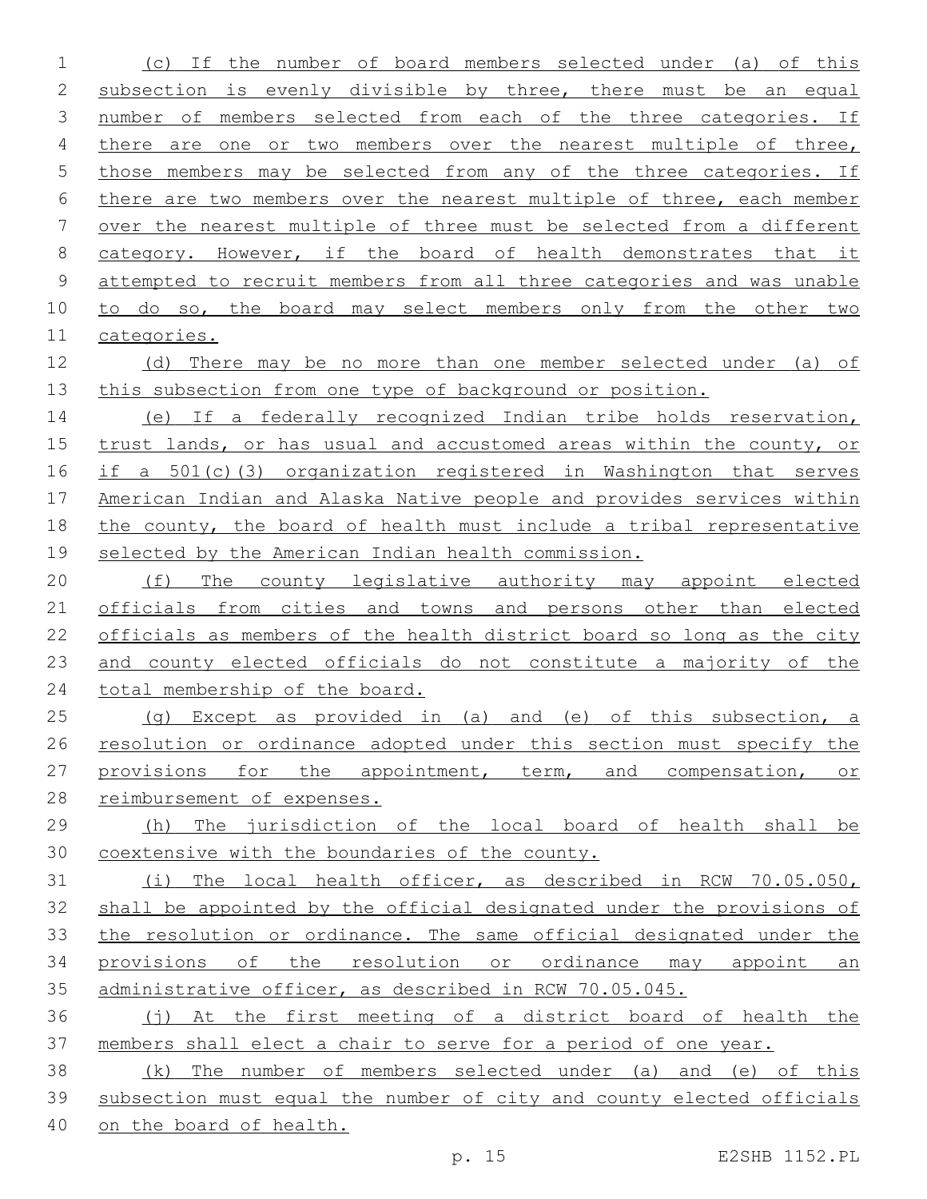(c) If the number of board members selected under (a) of this subsection is evenly divisible by three, there must be an equal number of members selected from each of the three categories. If there are one or two members over the nearest multiple of three, those members may be selected from any of the three categories. If there are two members over the nearest multiple of three, each member over the nearest multiple of three must be selected from a different category. However, if the board of health demonstrates that it 9 attempted to recruit members from all three categories and was unable to do so, the board may select members only from the other two categories. (d) There may be no more than one member selected under (a) of 13 this subsection from one type of background or position. (e) If a federally recognized Indian tribe holds reservation, trust lands, or has usual and accustomed areas within the county, or if a 501(c)(3) organization registered in Washington that serves American Indian and Alaska Native people and provides services within the county, the board of health must include a tribal representative selected by the American Indian health commission. 20 (f) The county legislative authority may appoint elected officials from cities and towns and persons other than elected officials as members of the health district board so long as the city and county elected officials do not constitute a majority of the 24 total membership of the board. (g) Except as provided in (a) and (e) of this subsection, a 26 resolution or ordinance adopted under this section must specify the 27 provisions for the appointment, term, and compensation, or reimbursement of expenses. (h) The jurisdiction of the local board of health shall be coextensive with the boundaries of the county. (i) The local health officer, as described in RCW 70.05.050, shall be appointed by the official designated under the provisions of the resolution or ordinance. The same official designated under the 34 provisions of the resolution or ordinance may appoint an administrative officer, as described in RCW 70.05.045. (j) At the first meeting of a district board of health the members shall elect a chair to serve for a period of one year. (k) The number of members selected under (a) and (e) of this subsection must equal the number of city and county elected officials on the board of health.

p. 15 E2SHB 1152.PL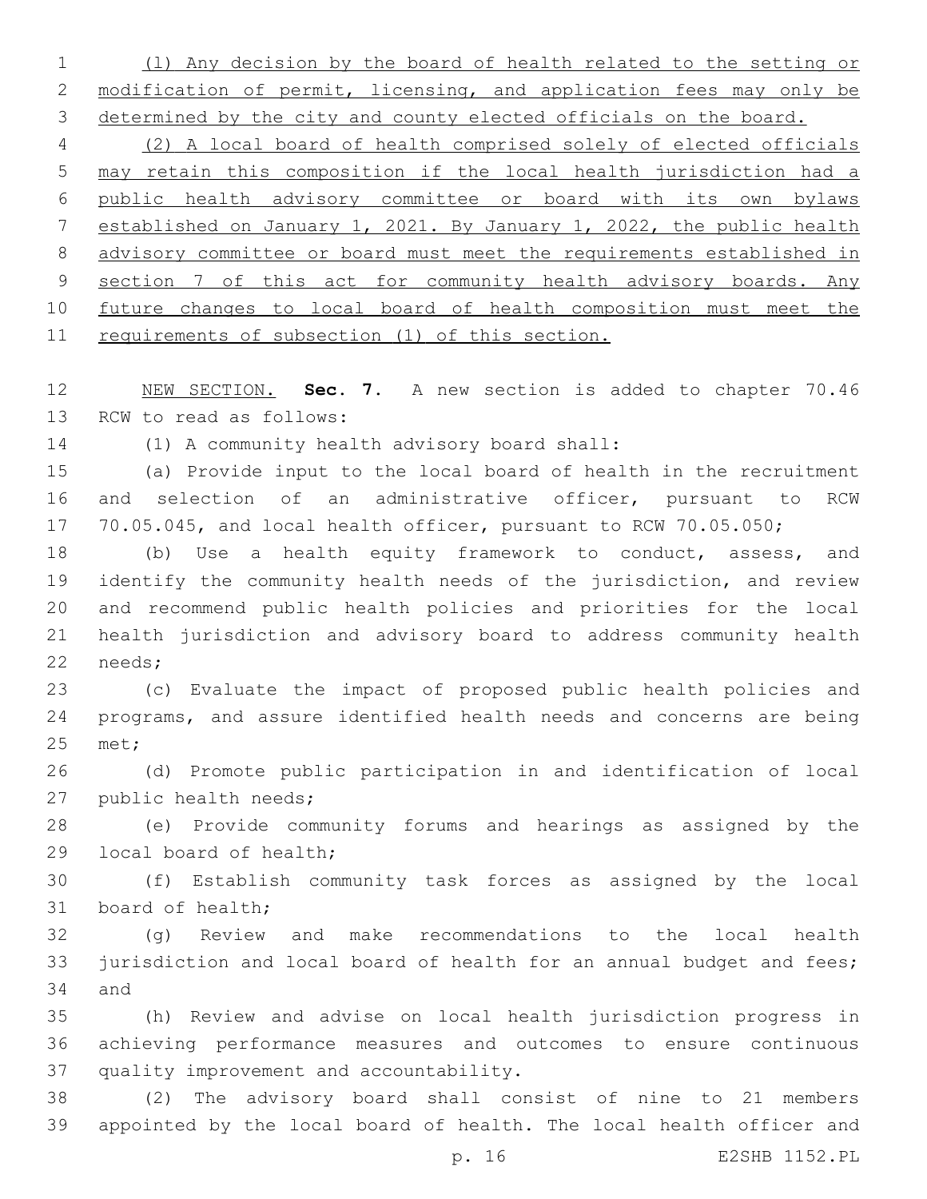(l) Any decision by the board of health related to the setting or 2 modification of permit, licensing, and application fees may only be 3 determined by the city and county elected officials on the board.

 (2) A local board of health comprised solely of elected officials may retain this composition if the local health jurisdiction had a public health advisory committee or board with its own bylaws established on January 1, 2021. By January 1, 2022, the public health advisory committee or board must meet the requirements established in 9 section 7 of this act for community health advisory boards. Any future changes to local board of health composition must meet the requirements of subsection (1) of this section.

 NEW SECTION. **Sec. 7.** A new section is added to chapter 70.46 13 RCW to read as follows:

14 (1) A community health advisory board shall:

 (a) Provide input to the local board of health in the recruitment and selection of an administrative officer, pursuant to RCW 70.05.045, and local health officer, pursuant to RCW 70.05.050;

 (b) Use a health equity framework to conduct, assess, and identify the community health needs of the jurisdiction, and review and recommend public health policies and priorities for the local health jurisdiction and advisory board to address community health 22 needs;

 (c) Evaluate the impact of proposed public health policies and programs, and assure identified health needs and concerns are being 25 met;

 (d) Promote public participation in and identification of local 27 public health needs;

 (e) Provide community forums and hearings as assigned by the 29 local board of health;

 (f) Establish community task forces as assigned by the local 31 board of health;

 (g) Review and make recommendations to the local health 33 jurisdiction and local board of health for an annual budget and fees; 34 and

 (h) Review and advise on local health jurisdiction progress in achieving performance measures and outcomes to ensure continuous 37 quality improvement and accountability.

 (2) The advisory board shall consist of nine to 21 members appointed by the local board of health. The local health officer and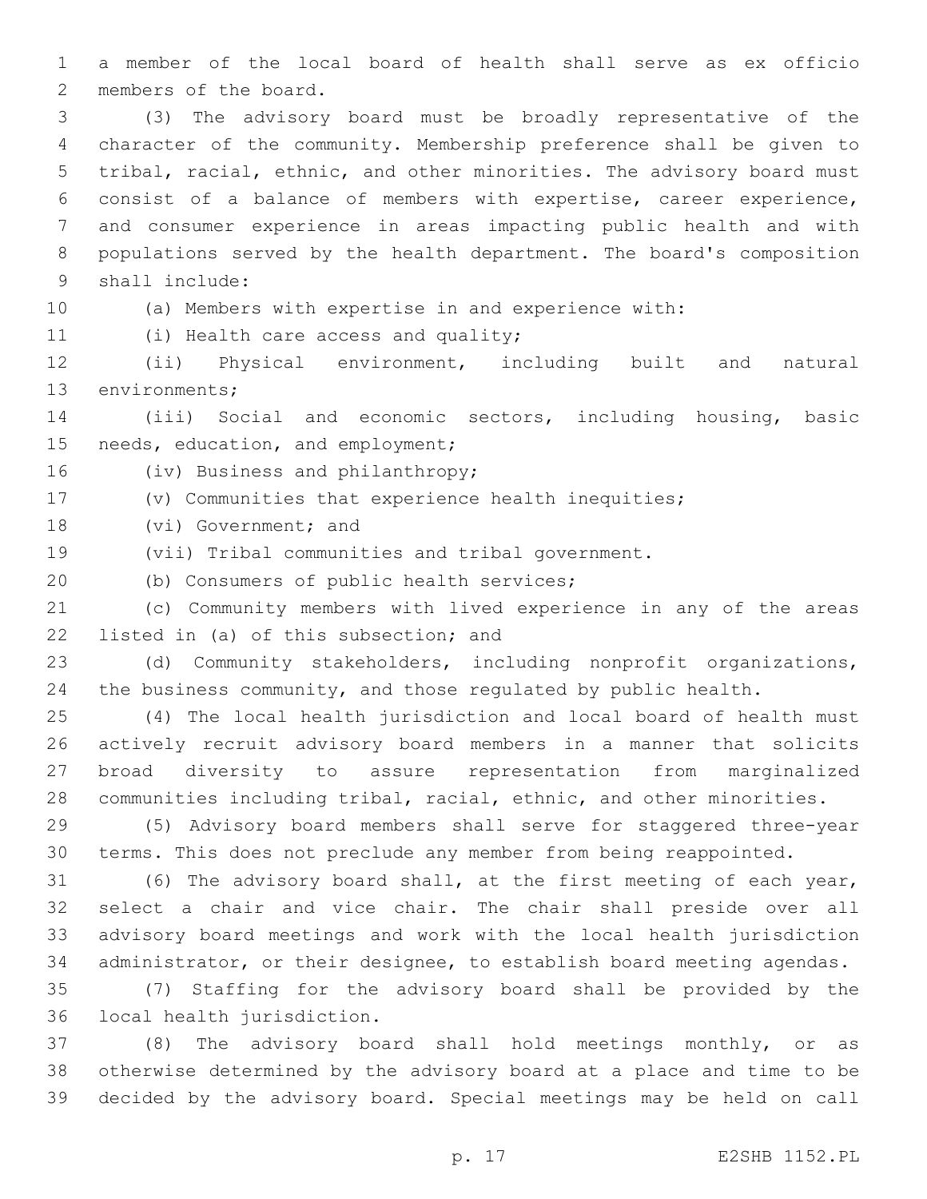a member of the local board of health shall serve as ex officio 2 members of the board.

 (3) The advisory board must be broadly representative of the character of the community. Membership preference shall be given to tribal, racial, ethnic, and other minorities. The advisory board must consist of a balance of members with expertise, career experience, and consumer experience in areas impacting public health and with populations served by the health department. The board's composition 9 shall include:

(a) Members with expertise in and experience with:

11 (i) Health care access and quality;

 (ii) Physical environment, including built and natural 13 environments;

 (iii) Social and economic sectors, including housing, basic 15 needs, education, and employment;

16 (iv) Business and philanthropy;

(v) Communities that experience health inequities;

18 (vi) Government; and

(vii) Tribal communities and tribal government.

20 (b) Consumers of public health services;

 (c) Community members with lived experience in any of the areas 22 listed in (a) of this subsection; and

 (d) Community stakeholders, including nonprofit organizations, the business community, and those regulated by public health.

 (4) The local health jurisdiction and local board of health must actively recruit advisory board members in a manner that solicits broad diversity to assure representation from marginalized communities including tribal, racial, ethnic, and other minorities.

 (5) Advisory board members shall serve for staggered three-year terms. This does not preclude any member from being reappointed.

 (6) The advisory board shall, at the first meeting of each year, select a chair and vice chair. The chair shall preside over all advisory board meetings and work with the local health jurisdiction administrator, or their designee, to establish board meeting agendas.

 (7) Staffing for the advisory board shall be provided by the 36 local health jurisdiction.

 (8) The advisory board shall hold meetings monthly, or as otherwise determined by the advisory board at a place and time to be decided by the advisory board. Special meetings may be held on call